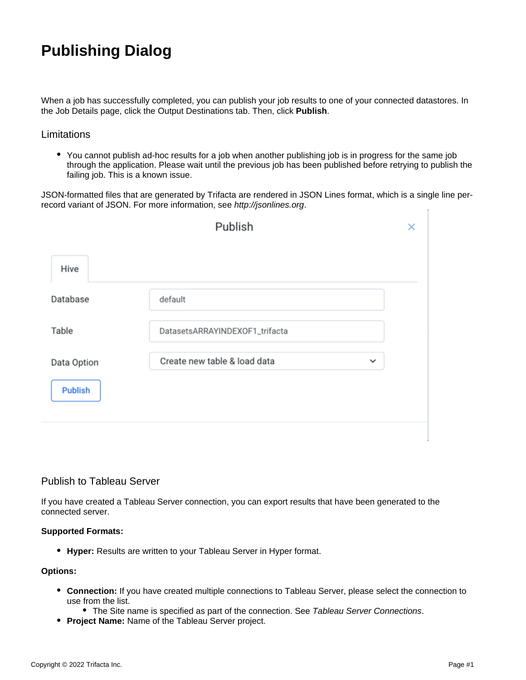# **Publishing Dialog**

When a job has successfully completed, you can publish your job results to one of your connected datastores. In the Job Details page, click the Output Destinations tab. Then, click **Publish**.

## **Limitations**

• You cannot publish ad-hoc results for a job when another publishing job is in progress for the same job through the application. Please wait until the previous job has been published before retrying to publish the failing job. This is a known issue.

JSON-formatted files that are generated by Trifacta are rendered in JSON Lines format, which is a single line perrecord variant of JSON. For more information, see [http://jsonlines.org](http://jsonlines.org/).

| Publish        |                                              | × |
|----------------|----------------------------------------------|---|
| Hive           |                                              |   |
| Database       | default                                      |   |
| Table          | DatasetsARRAYINDEXOF1_trifacta               |   |
| Data Option    | Create new table & load data<br>$\checkmark$ |   |
| <b>Publish</b> |                                              |   |
|                |                                              |   |

# Publish to Tableau Server

If you have created a Tableau Server connection, you can export results that have been generated to the connected server.

#### **Supported Formats:**

**Hyper:** Results are written to your Tableau Server in Hyper format.

#### **Options:**

- **Connection:** If you have created multiple connections to Tableau Server, please select the connection to use from the list.
	- The Site name is specified as part of the connection. See [Tableau Server Connections](https://docs.trifacta.com/display/SSP/Tableau+Server+Connections).
- **Project Name:** Name of the Tableau Server project.